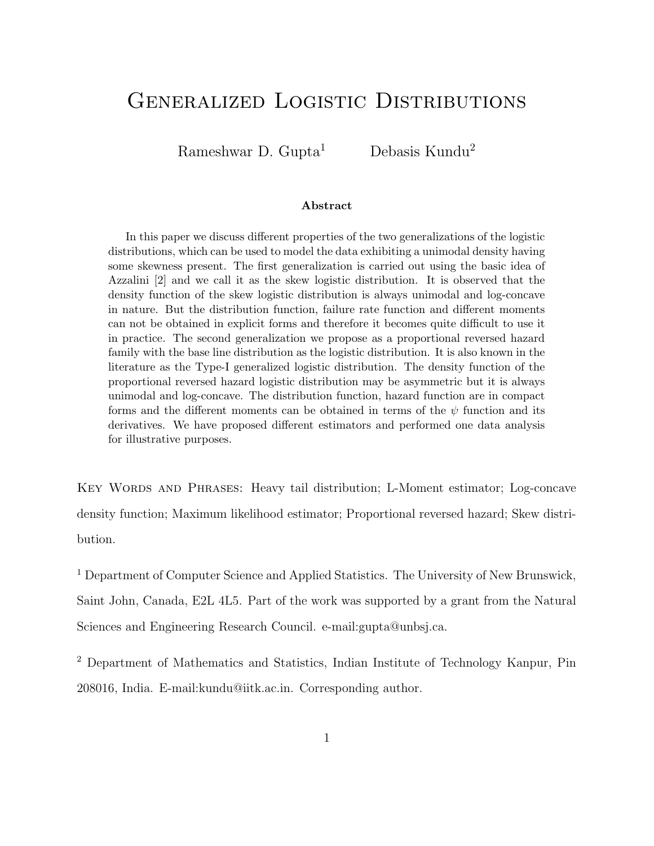# Generalized Logistic Distributions

Rameshwar D. Gupta<sup>1</sup> Debasis Kundu<sup>2</sup>

#### Abstract

In this paper we discuss different properties of the two generalizations of the logistic distributions, which can be used to model the data exhibiting a unimodal density having some skewness present. The first generalization is carried out using the basic idea of Azzalini [2] and we call it as the skew logistic distribution. It is observed that the density function of the skew logistic distribution is always unimodal and log-concave in nature. But the distribution function, failure rate function and different moments can not be obtained in explicit forms and therefore it becomes quite difficult to use it in practice. The second generalization we propose as a proportional reversed hazard family with the base line distribution as the logistic distribution. It is also known in the literature as the Type-I generalized logistic distribution. The density function of the proportional reversed hazard logistic distribution may be asymmetric but it is always unimodal and log-concave. The distribution function, hazard function are in compact forms and the different moments can be obtained in terms of the  $\psi$  function and its derivatives. We have proposed different estimators and performed one data analysis for illustrative purposes.

Key Words and Phrases: Heavy tail distribution; L-Moment estimator; Log-concave density function; Maximum likelihood estimator; Proportional reversed hazard; Skew distribution.

<sup>1</sup> Department of Computer Science and Applied Statistics. The University of New Brunswick, Saint John, Canada, E2L 4L5. Part of the work was supported by a grant from the Natural Sciences and Engineering Research Council. e-mail:gupta@unbsj.ca.

<sup>2</sup> Department of Mathematics and Statistics, Indian Institute of Technology Kanpur, Pin 208016, India. E-mail:kundu@iitk.ac.in. Corresponding author.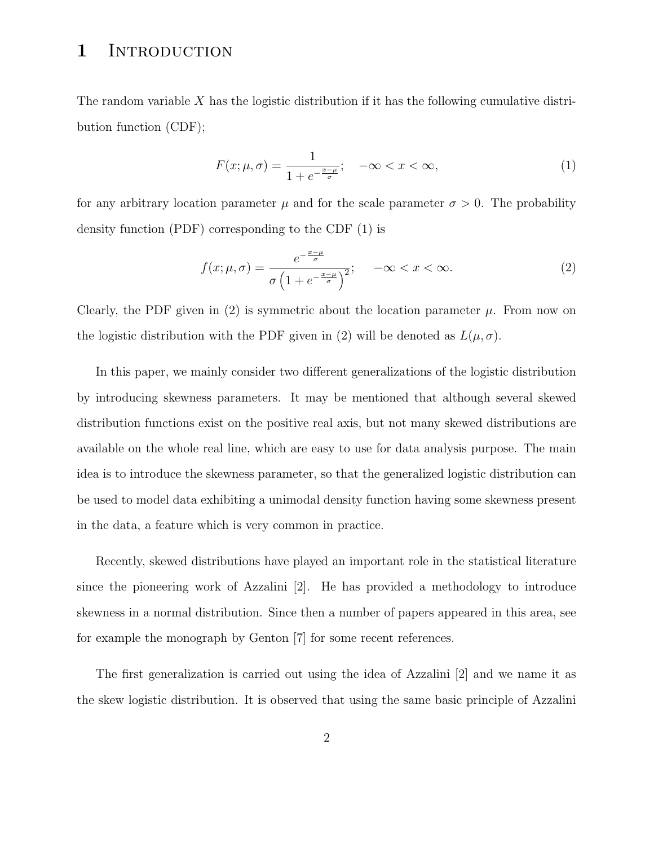## 1 INTRODUCTION

The random variable  $X$  has the logistic distribution if it has the following cumulative distribution function (CDF);

$$
F(x; \mu, \sigma) = \frac{1}{1 + e^{-\frac{x - \mu}{\sigma}}}; \quad -\infty < x < \infty,\tag{1}
$$

for any arbitrary location parameter  $\mu$  and for the scale parameter  $\sigma > 0$ . The probability density function (PDF) corresponding to the CDF (1) is

$$
f(x; \mu, \sigma) = \frac{e^{-\frac{x-\mu}{\sigma}}}{\sigma \left(1 + e^{-\frac{x-\mu}{\sigma}}\right)^2}; \quad -\infty < x < \infty. \tag{2}
$$

Clearly, the PDF given in (2) is symmetric about the location parameter  $\mu$ . From now on the logistic distribution with the PDF given in (2) will be denoted as  $L(\mu, \sigma)$ .

In this paper, we mainly consider two different generalizations of the logistic distribution by introducing skewness parameters. It may be mentioned that although several skewed distribution functions exist on the positive real axis, but not many skewed distributions are available on the whole real line, which are easy to use for data analysis purpose. The main idea is to introduce the skewness parameter, so that the generalized logistic distribution can be used to model data exhibiting a unimodal density function having some skewness present in the data, a feature which is very common in practice.

Recently, skewed distributions have played an important role in the statistical literature since the pioneering work of Azzalini [2]. He has provided a methodology to introduce skewness in a normal distribution. Since then a number of papers appeared in this area, see for example the monograph by Genton [7] for some recent references.

The first generalization is carried out using the idea of Azzalini [2] and we name it as the skew logistic distribution. It is observed that using the same basic principle of Azzalini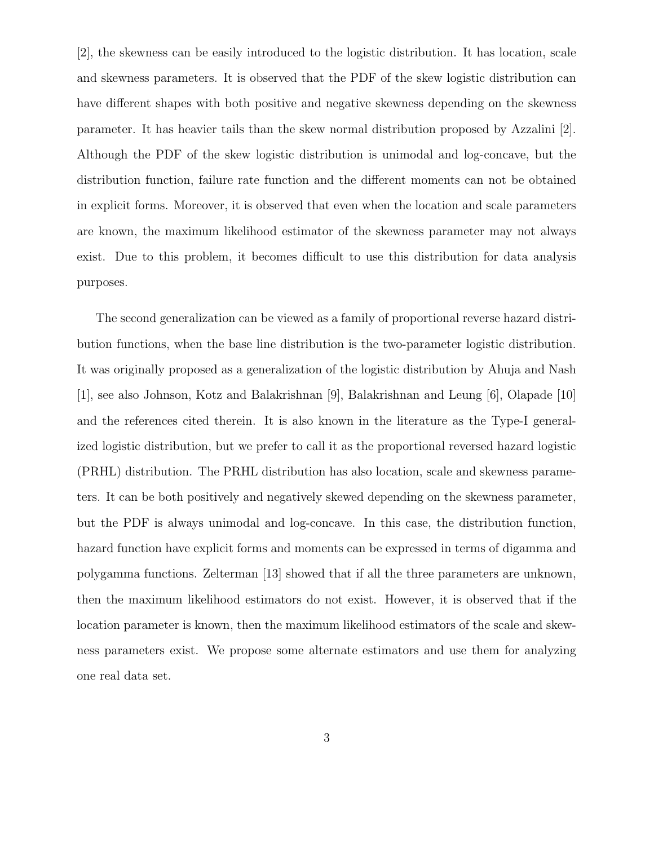[2], the skewness can be easily introduced to the logistic distribution. It has location, scale and skewness parameters. It is observed that the PDF of the skew logistic distribution can have different shapes with both positive and negative skewness depending on the skewness parameter. It has heavier tails than the skew normal distribution proposed by Azzalini [2]. Although the PDF of the skew logistic distribution is unimodal and log-concave, but the distribution function, failure rate function and the different moments can not be obtained in explicit forms. Moreover, it is observed that even when the location and scale parameters are known, the maximum likelihood estimator of the skewness parameter may not always exist. Due to this problem, it becomes difficult to use this distribution for data analysis purposes.

The second generalization can be viewed as a family of proportional reverse hazard distribution functions, when the base line distribution is the two-parameter logistic distribution. It was originally proposed as a generalization of the logistic distribution by Ahuja and Nash [1], see also Johnson, Kotz and Balakrishnan [9], Balakrishnan and Leung [6], Olapade [10] and the references cited therein. It is also known in the literature as the Type-I generalized logistic distribution, but we prefer to call it as the proportional reversed hazard logistic (PRHL) distribution. The PRHL distribution has also location, scale and skewness parameters. It can be both positively and negatively skewed depending on the skewness parameter, but the PDF is always unimodal and log-concave. In this case, the distribution function, hazard function have explicit forms and moments can be expressed in terms of digamma and polygamma functions. Zelterman [13] showed that if all the three parameters are unknown, then the maximum likelihood estimators do not exist. However, it is observed that if the location parameter is known, then the maximum likelihood estimators of the scale and skewness parameters exist. We propose some alternate estimators and use them for analyzing one real data set.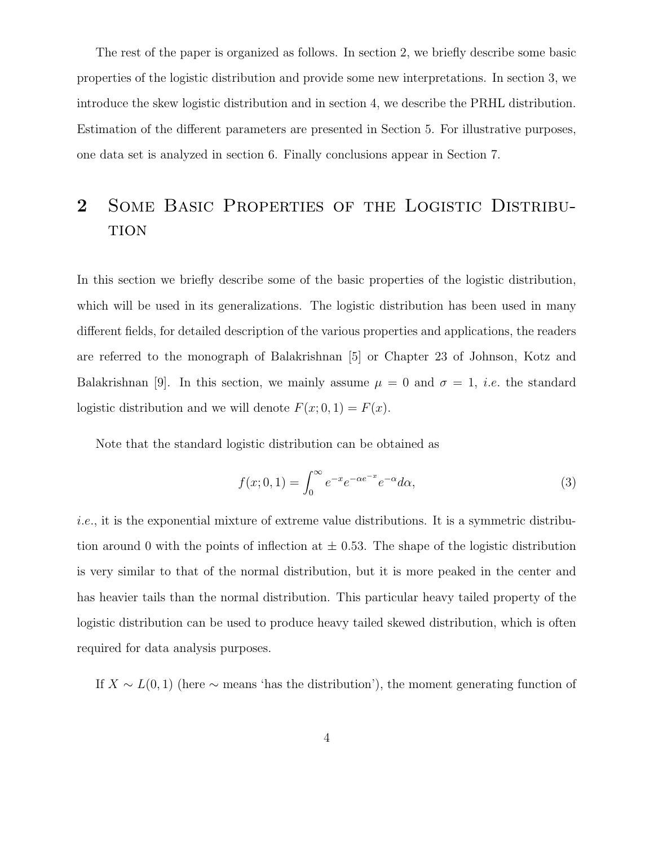The rest of the paper is organized as follows. In section 2, we briefly describe some basic properties of the logistic distribution and provide some new interpretations. In section 3, we introduce the skew logistic distribution and in section 4, we describe the PRHL distribution. Estimation of the different parameters are presented in Section 5. For illustrative purposes, one data set is analyzed in section 6. Finally conclusions appear in Section 7.

# 2 Some Basic Properties of the Logistic Distribu-**TION**

In this section we briefly describe some of the basic properties of the logistic distribution, which will be used in its generalizations. The logistic distribution has been used in many different fields, for detailed description of the various properties and applications, the readers are referred to the monograph of Balakrishnan [5] or Chapter 23 of Johnson, Kotz and Balakrishnan [9]. In this section, we mainly assume  $\mu = 0$  and  $\sigma = 1$ , *i.e.* the standard logistic distribution and we will denote  $F(x; 0, 1) = F(x)$ .

Note that the standard logistic distribution can be obtained as

$$
f(x;0,1) = \int_0^\infty e^{-x} e^{-\alpha e^{-x}} e^{-\alpha} d\alpha,
$$
\n(3)

i.e., it is the exponential mixture of extreme value distributions. It is a symmetric distribution around 0 with the points of inflection at  $\pm$  0.53. The shape of the logistic distribution is very similar to that of the normal distribution, but it is more peaked in the center and has heavier tails than the normal distribution. This particular heavy tailed property of the logistic distribution can be used to produce heavy tailed skewed distribution, which is often required for data analysis purposes.

If  $X \sim L(0, 1)$  (here  $\sim$  means 'has the distribution'), the moment generating function of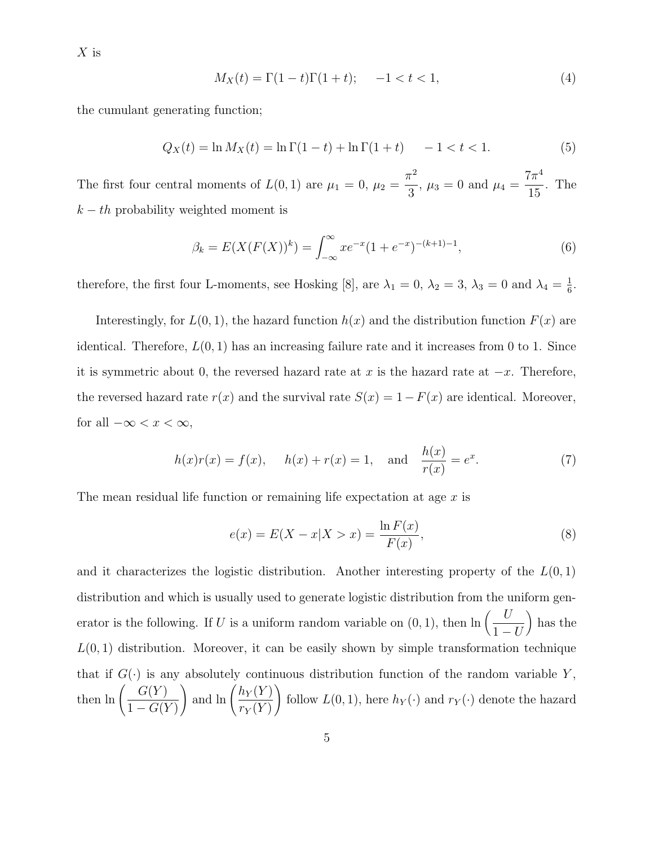$X$  is

$$
M_X(t) = \Gamma(1-t)\Gamma(1+t); \quad -1 < t < 1,\tag{4}
$$

the cumulant generating function;

$$
Q_X(t) = \ln M_X(t) = \ln \Gamma(1 - t) + \ln \Gamma(1 + t) - 1 < t < 1.
$$
 (5)

The first four central moments of  $L(0,1)$  are  $\mu_1 = 0$ ,  $\mu_2 =$  $\pi^2$  $\frac{1}{3}$ ,  $\mu_3 = 0$  and  $\mu_4 =$  $7\pi^4$ 15 . The  $k - th$  probability weighted moment is

$$
\beta_k = E(X(F(X))^k) = \int_{-\infty}^{\infty} x e^{-x} (1 + e^{-x})^{-(k+1)-1},\tag{6}
$$

therefore, the first four L-moments, see Hosking [8], are  $\lambda_1 = 0$ ,  $\lambda_2 = 3$ ,  $\lambda_3 = 0$  and  $\lambda_4 = \frac{1}{6}$  $\frac{1}{6}$ .

Interestingly, for  $L(0, 1)$ , the hazard function  $h(x)$  and the distribution function  $F(x)$  are identical. Therefore,  $L(0, 1)$  has an increasing failure rate and it increases from 0 to 1. Since it is symmetric about 0, the reversed hazard rate at x is the hazard rate at  $-x$ . Therefore, the reversed hazard rate  $r(x)$  and the survival rate  $S(x) = 1 - F(x)$  are identical. Moreover, for all  $-\infty < x < \infty$ ,

$$
h(x)r(x) = f(x),
$$
  $h(x) + r(x) = 1,$  and  $\frac{h(x)}{r(x)} = e^x.$  (7)

The mean residual life function or remaining life expectation at age  $x$  is

$$
e(x) = E(X - x | X > x) = \frac{\ln F(x)}{F(x)},
$$
\n(8)

and it characterizes the logistic distribution. Another interesting property of the  $L(0,1)$ distribution and which is usually used to generate logistic distribution from the uniform generator is the following. If U is a uniform random variable on  $(0, 1)$ , then  $\ln \left( \frac{U}{1} \right)$  $1-U$ ¶ has the  $L(0, 1)$  distribution. Moreover, it can be easily shown by simple transformation technique that if  $G(\cdot)$  is any absolutely continuous distribution function of the random variable Y, then  $\ln \left( \frac{G(Y)}{1 - G(Y)} \right)$  $1-G(Y)$ ) and  $\ln \left( \frac{h_Y(Y)}{Y} \right)$  $r_Y(Y)$  $\setminus$ follow  $L(0, 1)$ , here  $h_Y(\cdot)$  and  $r_Y(\cdot)$  denote the hazard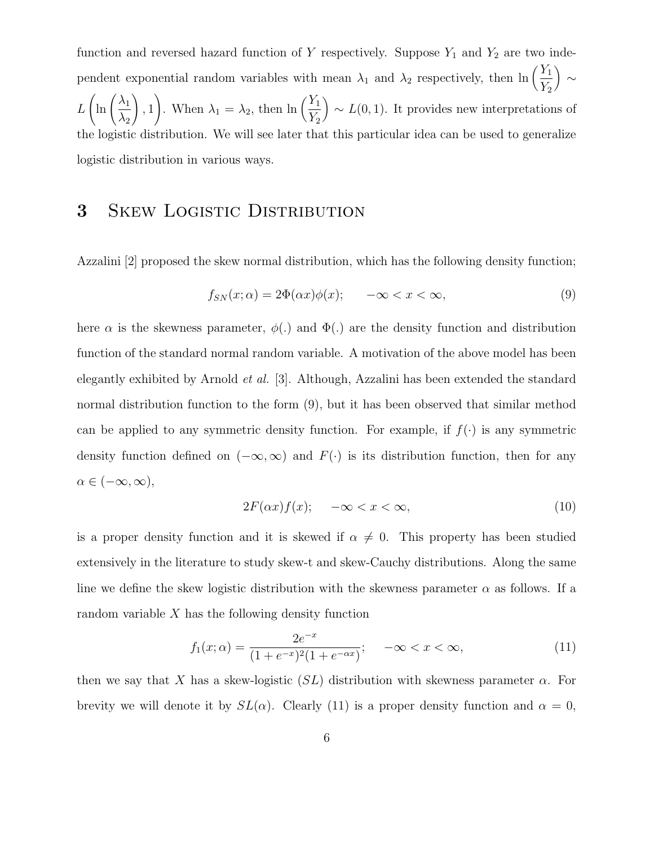function and reversed hazard function of Y respectively. Suppose  $Y_1$  and  $Y_2$  are two independent exponential random variables with mean  $\lambda_1$  and  $\lambda_2$  respectively, then  $\ln\left(\frac{Y_1}{Y}\right)$  $Y_2$ ¶ ∼ L  $\ln\left(\frac{\lambda_1}{\lambda}\right)$  $\lambda_2$  $\setminus$ , 1 ). When  $\lambda_1 = \lambda_2$ , then  $\ln \left( \frac{Y_1}{Y_2} \right)$  $Y_2$  $\Big) \sim L(0, 1)$ . It provides new interpretations of the logistic distribution. We will see later that this particular idea can be used to generalize logistic distribution in various ways.

### 3 SKEW LOGISTIC DISTRIBUTION

Azzalini [2] proposed the skew normal distribution, which has the following density function;

$$
f_{SN}(x; \alpha) = 2\Phi(\alpha x)\phi(x); \quad -\infty < x < \infty,\tag{9}
$$

here  $\alpha$  is the skewness parameter,  $\phi(.)$  and  $\Phi(.)$  are the density function and distribution function of the standard normal random variable. A motivation of the above model has been elegantly exhibited by Arnold et al. [3]. Although, Azzalini has been extended the standard normal distribution function to the form (9), but it has been observed that similar method can be applied to any symmetric density function. For example, if  $f(\cdot)$  is any symmetric density function defined on  $(-\infty,\infty)$  and  $F(\cdot)$  is its distribution function, then for any  $\alpha \in (-\infty, \infty),$ 

$$
2F(\alpha x)f(x); \quad -\infty < x < \infty,\tag{10}
$$

is a proper density function and it is skewed if  $\alpha \neq 0$ . This property has been studied extensively in the literature to study skew-t and skew-Cauchy distributions. Along the same line we define the skew logistic distribution with the skewness parameter  $\alpha$  as follows. If a random variable  $X$  has the following density function

$$
f_1(x; \alpha) = \frac{2e^{-x}}{(1 + e^{-x})^2 (1 + e^{-\alpha x})}; \quad -\infty < x < \infty,
$$
\n(11)

then we say that X has a skew-logistic  $(SL)$  distribution with skewness parameter  $\alpha$ . For brevity we will denote it by  $SL(\alpha)$ . Clearly (11) is a proper density function and  $\alpha = 0$ ,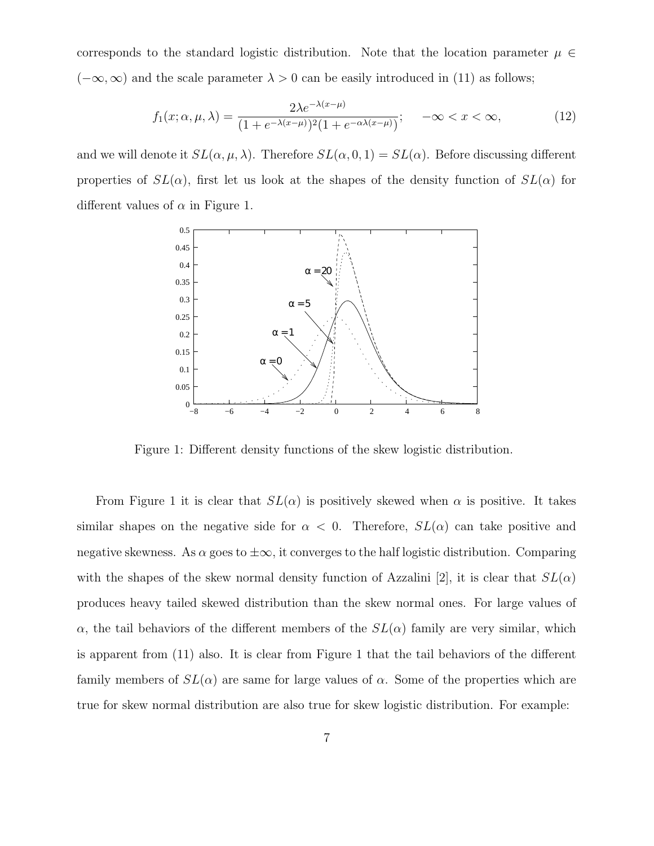corresponds to the standard logistic distribution. Note that the location parameter  $\mu \in$  $(-\infty,\infty)$  and the scale parameter  $\lambda > 0$  can be easily introduced in (11) as follows;

$$
f_1(x; \alpha, \mu, \lambda) = \frac{2\lambda e^{-\lambda(x-\mu)}}{(1 + e^{-\lambda(x-\mu)})^2 (1 + e^{-\alpha\lambda(x-\mu)})}; \quad -\infty < x < \infty,
$$
\n<sup>(12)</sup>

and we will denote it  $SL(\alpha, \mu, \lambda)$ . Therefore  $SL(\alpha, 0, 1) = SL(\alpha)$ . Before discussing different properties of  $SL(\alpha)$ , first let us look at the shapes of the density function of  $SL(\alpha)$  for different values of  $\alpha$  in Figure 1.



Figure 1: Different density functions of the skew logistic distribution.

From Figure 1 it is clear that  $SL(\alpha)$  is positively skewed when  $\alpha$  is positive. It takes similar shapes on the negative side for  $\alpha < 0$ . Therefore,  $SL(\alpha)$  can take positive and negative skewness. As  $\alpha$  goes to  $\pm \infty$ , it converges to the half logistic distribution. Comparing with the shapes of the skew normal density function of Azzalini [2], it is clear that  $SL(\alpha)$ produces heavy tailed skewed distribution than the skew normal ones. For large values of α, the tail behaviors of the different members of the  $SL(α)$  family are very similar, which is apparent from (11) also. It is clear from Figure 1 that the tail behaviors of the different family members of  $SL(\alpha)$  are same for large values of  $\alpha$ . Some of the properties which are true for skew normal distribution are also true for skew logistic distribution. For example: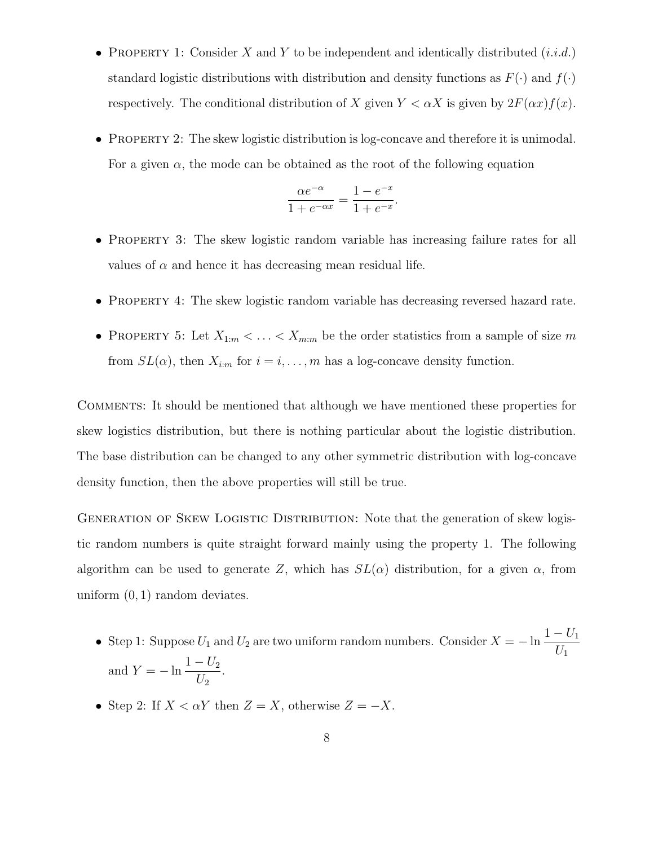- PROPERTY 1: Consider X and Y to be independent and identically distributed  $(i.i.d.)$ standard logistic distributions with distribution and density functions as  $F(\cdot)$  and  $f(\cdot)$ respectively. The conditional distribution of X given  $Y < \alpha X$  is given by  $2F(\alpha x)f(x)$ .
- PROPERTY 2: The skew logistic distribution is log-concave and therefore it is unimodal. For a given  $\alpha$ , the mode can be obtained as the root of the following equation

$$
\frac{\alpha e^{-\alpha}}{1 + e^{-\alpha x}} = \frac{1 - e^{-x}}{1 + e^{-x}}.
$$

- PROPERTY 3: The skew logistic random variable has increasing failure rates for all values of  $\alpha$  and hence it has decreasing mean residual life.
- PROPERTY 4: The skew logistic random variable has decreasing reversed hazard rate.
- PROPERTY 5: Let  $X_{1:m} < \ldots < X_{m:m}$  be the order statistics from a sample of size m from  $SL(\alpha)$ , then  $X_{i:m}$  for  $i = i, ..., m$  has a log-concave density function.

Comments: It should be mentioned that although we have mentioned these properties for skew logistics distribution, but there is nothing particular about the logistic distribution. The base distribution can be changed to any other symmetric distribution with log-concave density function, then the above properties will still be true.

GENERATION OF SKEW LOGISTIC DISTRIBUTION: Note that the generation of skew logistic random numbers is quite straight forward mainly using the property 1. The following algorithm can be used to generate Z, which has  $SL(\alpha)$  distribution, for a given  $\alpha$ , from uniform  $(0, 1)$  random deviates.

- Step 1: Suppose  $U_1$  and  $U_2$  are two uniform random numbers. Consider  $X = -\ln \frac{1 U_1}{U_1}$  $U_1$ and  $Y = -\ln \frac{1 - U_2}{U}$  $U_2$ .
- Step 2: If  $X < \alpha Y$  then  $Z = X$ , otherwise  $Z = -X$ .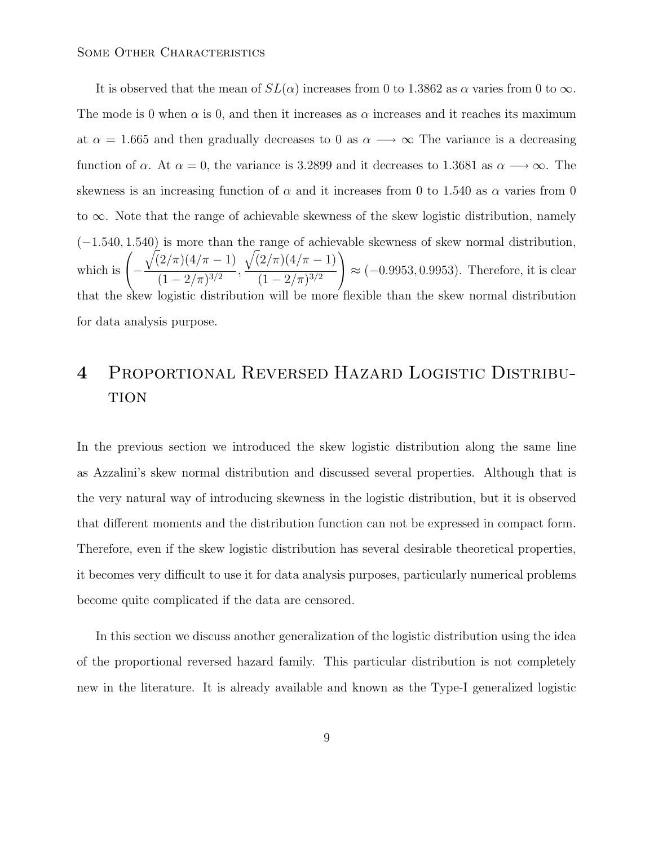It is observed that the mean of  $SL(\alpha)$  increases from 0 to 1.3862 as  $\alpha$  varies from 0 to  $\infty$ . The mode is 0 when  $\alpha$  is 0, and then it increases as  $\alpha$  increases and it reaches its maximum at  $\alpha = 1.665$  and then gradually decreases to 0 as  $\alpha \longrightarrow \infty$  The variance is a decreasing function of  $\alpha$ . At  $\alpha = 0$ , the variance is 3.2899 and it decreases to 1.3681 as  $\alpha \longrightarrow \infty$ . The skewness is an increasing function of  $\alpha$  and it increases from 0 to 1.540 as  $\alpha$  varies from 0 to ∞. Note that the range of achievable skewness of the skew logistic distribution, namely (−1.540, 1.540) is more than the range of achievable skewness of skew normal distribution, which is  $\sqrt{ }$ −  $\sqrt{(2/\pi)(4/\pi - 1)}$  $\frac{(1-2/\pi)^{3/2}}{(1-2/\pi)^{3/2}},$  $\sqrt{(2/\pi)(4/\pi - 1)}$  $(1-2/\pi)^{3/2}$  $\setminus$  $\approx$  (-0.9953, 0.9953). Therefore, it is clear that the skew logistic distribution will be more flexible than the skew normal distribution for data analysis purpose.

## 4 Proportional Reversed Hazard Logistic Distribu-**TION**

In the previous section we introduced the skew logistic distribution along the same line as Azzalini's skew normal distribution and discussed several properties. Although that is the very natural way of introducing skewness in the logistic distribution, but it is observed that different moments and the distribution function can not be expressed in compact form. Therefore, even if the skew logistic distribution has several desirable theoretical properties, it becomes very difficult to use it for data analysis purposes, particularly numerical problems become quite complicated if the data are censored.

In this section we discuss another generalization of the logistic distribution using the idea of the proportional reversed hazard family. This particular distribution is not completely new in the literature. It is already available and known as the Type-I generalized logistic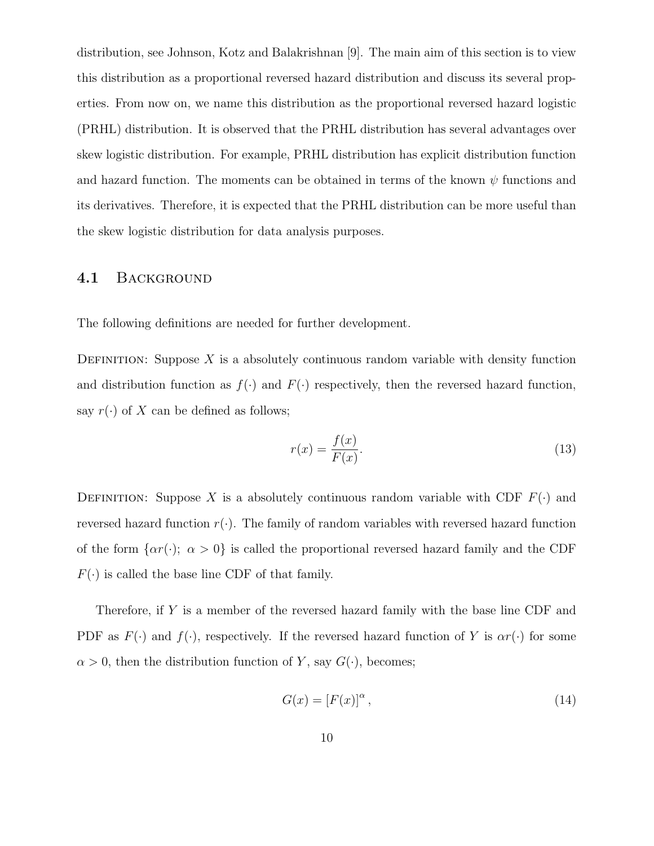distribution, see Johnson, Kotz and Balakrishnan [9]. The main aim of this section is to view this distribution as a proportional reversed hazard distribution and discuss its several properties. From now on, we name this distribution as the proportional reversed hazard logistic (PRHL) distribution. It is observed that the PRHL distribution has several advantages over skew logistic distribution. For example, PRHL distribution has explicit distribution function and hazard function. The moments can be obtained in terms of the known  $\psi$  functions and its derivatives. Therefore, it is expected that the PRHL distribution can be more useful than the skew logistic distribution for data analysis purposes.

#### 4.1 BACKGROUND

The following definitions are needed for further development.

DEFINITION: Suppose  $X$  is a absolutely continuous random variable with density function and distribution function as  $f(\cdot)$  and  $F(\cdot)$  respectively, then the reversed hazard function, say  $r(\cdot)$  of X can be defined as follows;

$$
r(x) = \frac{f(x)}{F(x)}.\t(13)
$$

DEFINITION: Suppose X is a absolutely continuous random variable with CDF  $F(\cdot)$  and reversed hazard function  $r(\cdot)$ . The family of random variables with reversed hazard function of the form  $\{\alpha r(\cdot); \ \alpha > 0\}$  is called the proportional reversed hazard family and the CDF  $F(\cdot)$  is called the base line CDF of that family.

Therefore, if Y is a member of the reversed hazard family with the base line CDF and PDF as  $F(\cdot)$  and  $f(\cdot)$ , respectively. If the reversed hazard function of Y is  $\alpha r(\cdot)$  for some  $\alpha > 0$ , then the distribution function of Y, say  $G(\cdot)$ , becomes;

$$
G(x) = [F(x)]^{\alpha},\tag{14}
$$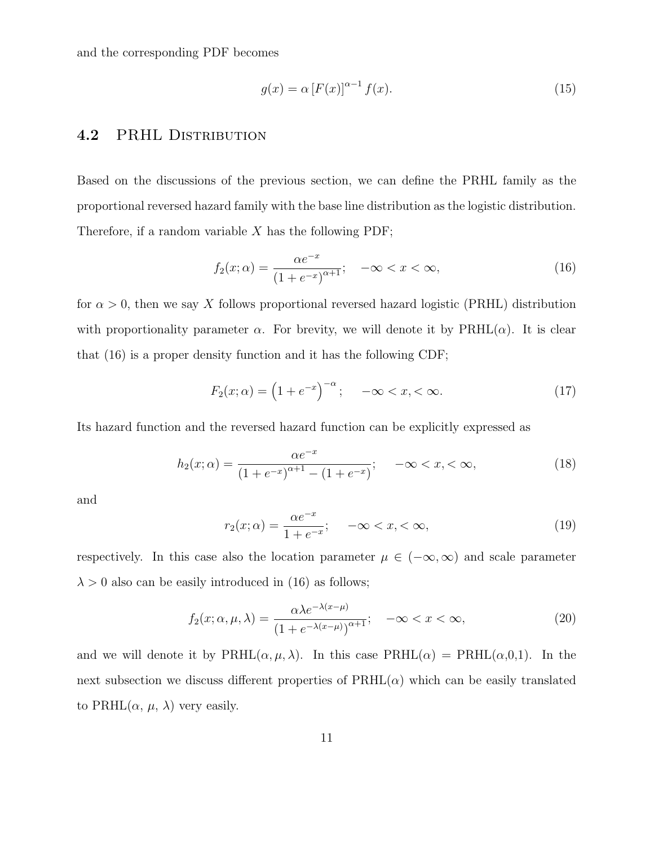and the corresponding PDF becomes

$$
g(x) = \alpha \left[ F(x) \right]^{\alpha - 1} f(x). \tag{15}
$$

#### 4.2 PRHL DISTRIBUTION

Based on the discussions of the previous section, we can define the PRHL family as the proportional reversed hazard family with the base line distribution as the logistic distribution. Therefore, if a random variable  $X$  has the following PDF;

$$
f_2(x; \alpha) = \frac{\alpha e^{-x}}{(1 + e^{-x})^{\alpha + 1}}; \quad -\infty < x < \infty,
$$
\n(16)

for  $\alpha > 0$ , then we say X follows proportional reversed hazard logistic (PRHL) distribution with proportionality parameter  $\alpha$ . For brevity, we will denote it by PRHL( $\alpha$ ). It is clear that (16) is a proper density function and it has the following CDF;

$$
F_2(x; \alpha) = \left(1 + e^{-x}\right)^{-\alpha}; \quad -\infty < x, < \infty. \tag{17}
$$

Its hazard function and the reversed hazard function can be explicitly expressed as

$$
h_2(x; \alpha) = \frac{\alpha e^{-x}}{(1 + e^{-x})^{\alpha + 1} - (1 + e^{-x})}; \quad -\infty < x, < \infty,
$$
\n(18)

and

$$
r_2(x; \alpha) = \frac{\alpha e^{-x}}{1 + e^{-x}}; \quad -\infty < x, < \infty,\tag{19}
$$

respectively. In this case also the location parameter  $\mu \in (-\infty, \infty)$  and scale parameter  $\lambda > 0$  also can be easily introduced in (16) as follows;

$$
f_2(x; \alpha, \mu, \lambda) = \frac{\alpha \lambda e^{-\lambda(x-\mu)}}{\left(1 + e^{-\lambda(x-\mu)}\right)^{\alpha+1}}; \quad -\infty < x < \infty,\tag{20}
$$

and we will denote it by  $\text{PRHL}(\alpha, \mu, \lambda)$ . In this case  $\text{PRHL}(\alpha) = \text{PRHL}(\alpha, 0, 1)$ . In the next subsection we discuss different properties of  $\text{PRHL}(\alpha)$  which can be easily translated to PRHL $(\alpha, \mu, \lambda)$  very easily.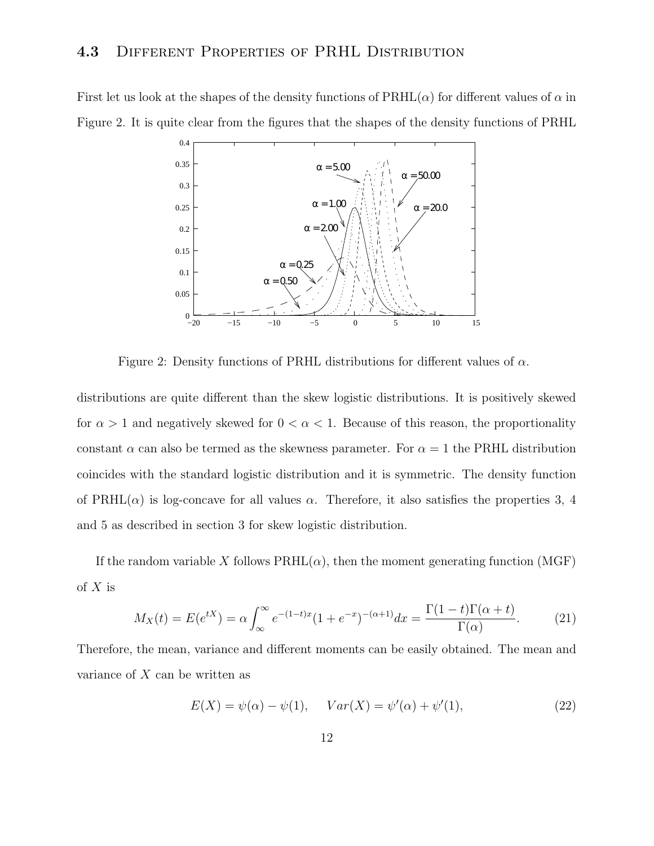#### 4.3 DIFFERENT PROPERTIES OF PRHL DISTRIBUTION

First let us look at the shapes of the density functions of  $\text{PRHL}(\alpha)$  for different values of  $\alpha$  in Figure 2. It is quite clear from the figures that the shapes of the density functions of PRHL



Figure 2: Density functions of PRHL distributions for different values of  $\alpha$ .

distributions are quite different than the skew logistic distributions. It is positively skewed for  $\alpha > 1$  and negatively skewed for  $0 < \alpha < 1$ . Because of this reason, the proportionality constant  $\alpha$  can also be termed as the skewness parameter. For  $\alpha = 1$  the PRHL distribution coincides with the standard logistic distribution and it is symmetric. The density function of PRHL( $\alpha$ ) is log-concave for all values  $\alpha$ . Therefore, it also satisfies the properties 3, 4 and 5 as described in section 3 for skew logistic distribution.

If the random variable X follows  $\text{PRHL}(\alpha)$ , then the moment generating function (MGF) of  $X$  is

$$
M_X(t) = E(e^{tX}) = \alpha \int_{\infty}^{\infty} e^{-(1-t)x} (1 + e^{-x})^{-(\alpha+1)} dx = \frac{\Gamma(1-t)\Gamma(\alpha+t)}{\Gamma(\alpha)}.
$$
 (21)

Therefore, the mean, variance and different moments can be easily obtained. The mean and variance of  $X$  can be written as

$$
E(X) = \psi(\alpha) - \psi(1), \quad Var(X) = \psi'(\alpha) + \psi'(1), \tag{22}
$$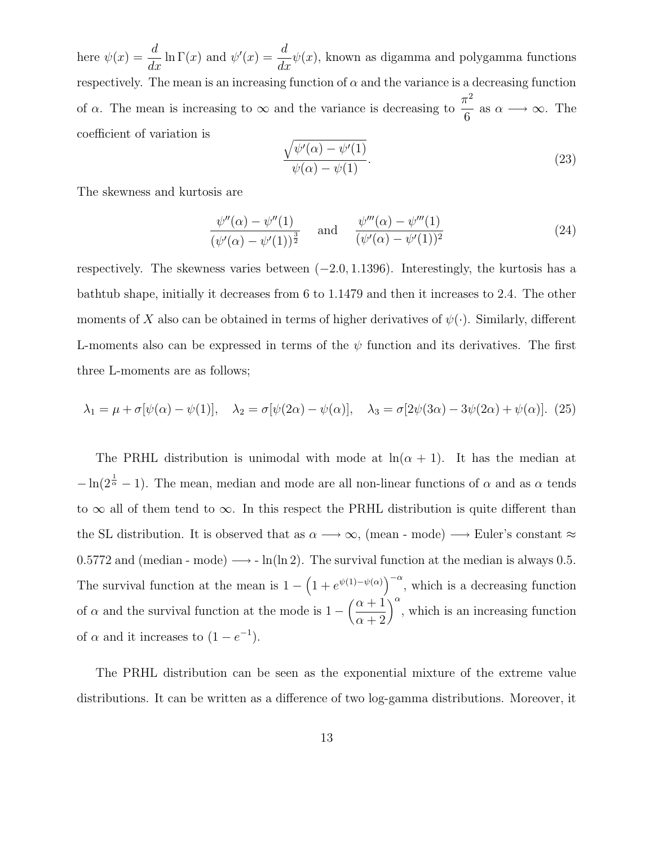here  $\psi(x) =$ d  $\frac{d}{dx}$  ln  $\Gamma(x)$  and  $\psi'(x) =$ d  $\frac{d}{dx}\psi(x)$ , known as digamma and polygamma functions respectively. The mean is an increasing function of  $\alpha$  and the variance is a decreasing function of  $\alpha$ . The mean is increasing to  $\infty$  and the variance is decreasing to  $\pi^2$ 6 as  $\alpha \longrightarrow \infty$ . The coefficient of variation is

$$
\frac{\sqrt{\psi'(\alpha) - \psi'(1)}}{\psi(\alpha) - \psi(1)}.
$$
\n(23)

The skewness and kurtosis are

$$
\frac{\psi''(\alpha) - \psi''(1)}{(\psi'(\alpha) - \psi'(1))^{\frac{3}{2}}} \quad \text{and} \quad \frac{\psi'''(\alpha) - \psi'''(1)}{(\psi'(\alpha) - \psi'(1))^2}
$$
\n(24)

respectively. The skewness varies between  $(-2.0, 1.1396)$ . Interestingly, the kurtosis has a bathtub shape, initially it decreases from 6 to 1.1479 and then it increases to 2.4. The other moments of X also can be obtained in terms of higher derivatives of  $\psi(\cdot)$ . Similarly, different L-moments also can be expressed in terms of the  $\psi$  function and its derivatives. The first three L-moments are as follows;

$$
\lambda_1 = \mu + \sigma[\psi(\alpha) - \psi(1)], \quad \lambda_2 = \sigma[\psi(2\alpha) - \psi(\alpha)], \quad \lambda_3 = \sigma[2\psi(3\alpha) - 3\psi(2\alpha) + \psi(\alpha)]. \tag{25}
$$

The PRHL distribution is unimodal with mode at  $ln(\alpha + 1)$ . It has the median at  $-\ln(2^{\frac{1}{\alpha}}-1)$ . The mean, median and mode are all non-linear functions of  $\alpha$  and as  $\alpha$  tends to  $\infty$  all of them tend to  $\infty$ . In this respect the PRHL distribution is quite different than the SL distribution. It is observed that as  $\alpha \longrightarrow \infty$ , (mean - mode)  $\longrightarrow$  Euler's constant  $\approx$ 0.5772 and (median - mode)  $\longrightarrow$  - ln(ln 2). The survival function at the median is always 0.5. The survival function at the mean is  $1 - \left(1 + e^{\psi(1) - \psi(\alpha)}\right)^{-\alpha}$ , which is a decreasing function of  $\alpha$  and the survival function at the mode is  $1 - \left(\frac{\alpha + 1}{n}\right)$  $\alpha + 2$  $\int_{0}^{\alpha}$ , which is an increasing function of  $\alpha$  and it increases to  $(1-e^{-1})$ .

The PRHL distribution can be seen as the exponential mixture of the extreme value distributions. It can be written as a difference of two log-gamma distributions. Moreover, it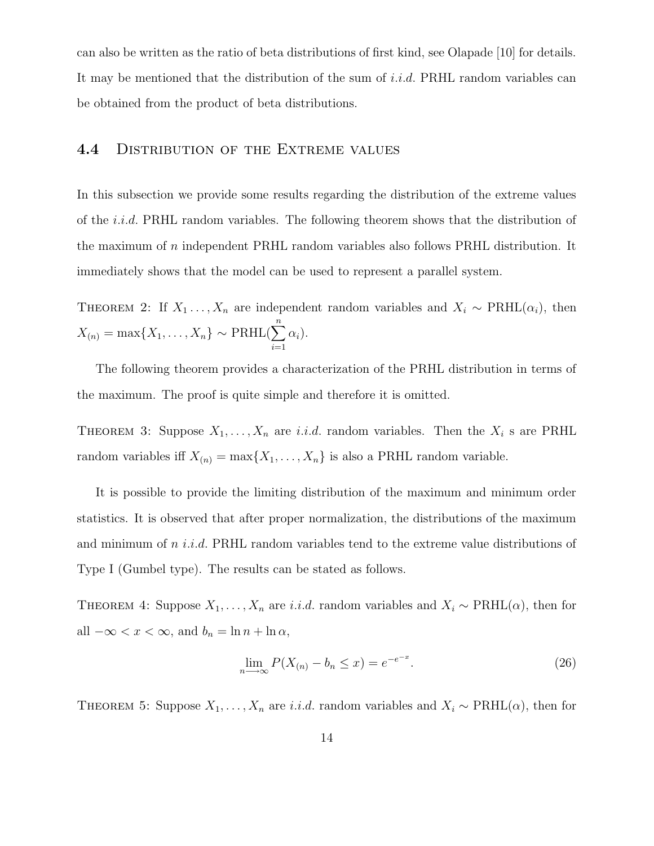can also be written as the ratio of beta distributions of first kind, see Olapade [10] for details. It may be mentioned that the distribution of the sum of i.i.d. PRHL random variables can be obtained from the product of beta distributions.

#### 4.4 DISTRIBUTION OF THE EXTREME VALUES

In this subsection we provide some results regarding the distribution of the extreme values of the i.i.d. PRHL random variables. The following theorem shows that the distribution of the maximum of n independent PRHL random variables also follows PRHL distribution. It immediately shows that the model can be used to represent a parallel system.

THEOREM 2: If  $X_1 \ldots, X_n$  are independent random variables and  $X_i \sim \text{PRHL}(\alpha_i)$ , then  $X_{(n)} = \max\{X_1, \ldots, X_n\} \sim \text{PRHL}(\sum^{n}$  $i=1$  $\alpha_i$ ).

The following theorem provides a characterization of the PRHL distribution in terms of the maximum. The proof is quite simple and therefore it is omitted.

THEOREM 3: Suppose  $X_1, \ldots, X_n$  are i.i.d. random variables. Then the  $X_i$  s are PRHL random variables iff  $X_{(n)} = \max\{X_1, \ldots, X_n\}$  is also a PRHL random variable.

It is possible to provide the limiting distribution of the maximum and minimum order statistics. It is observed that after proper normalization, the distributions of the maximum and minimum of  $n$  *i.i.d.* PRHL random variables tend to the extreme value distributions of Type I (Gumbel type). The results can be stated as follows.

THEOREM 4: Suppose  $X_1, \ldots, X_n$  are *i.i.d.* random variables and  $X_i \sim \text{PRHL}(\alpha)$ , then for all  $-\infty < x < \infty$ , and  $b_n = \ln n + \ln \alpha$ ,

$$
\lim_{n \to \infty} P(X_{(n)} - b_n \le x) = e^{-e^{-x}}.
$$
\n(26)

THEOREM 5: Suppose  $X_1, \ldots, X_n$  are *i.i.d.* random variables and  $X_i \sim \text{PRHL}(\alpha)$ , then for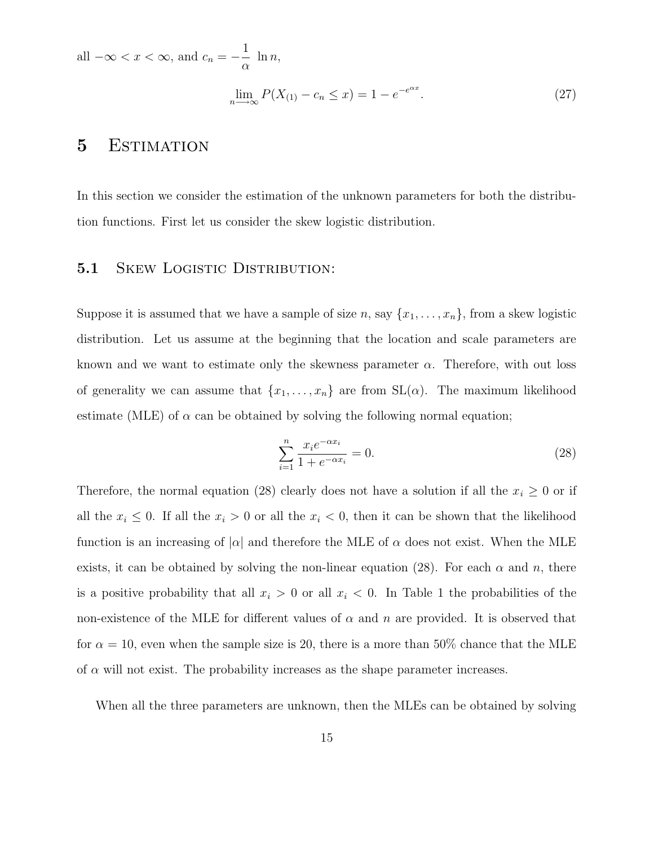all  $-\infty < x < \infty$ , and  $c_n = -$ 1  $\alpha$  $\ln n,$  $\lim_{n \to \infty} P(X_{(1)} - c_n \leq x) = 1 - e^{-e^{\alpha x}}$ . (27)

### 5 Estimation

In this section we consider the estimation of the unknown parameters for both the distribution functions. First let us consider the skew logistic distribution.

#### 5.1 SKEW LOGISTIC DISTRIBUTION:

Suppose it is assumed that we have a sample of size n, say  $\{x_1, \ldots, x_n\}$ , from a skew logistic distribution. Let us assume at the beginning that the location and scale parameters are known and we want to estimate only the skewness parameter  $\alpha$ . Therefore, with out loss of generality we can assume that  $\{x_1, \ldots, x_n\}$  are from  $SL(\alpha)$ . The maximum likelihood estimate (MLE) of  $\alpha$  can be obtained by solving the following normal equation;

$$
\sum_{i=1}^{n} \frac{x_i e^{-\alpha x_i}}{1 + e^{-\alpha x_i}} = 0.
$$
\n(28)

Therefore, the normal equation (28) clearly does not have a solution if all the  $x_i \geq 0$  or if all the  $x_i \leq 0$ . If all the  $x_i > 0$  or all the  $x_i < 0$ , then it can be shown that the likelihood function is an increasing of  $|\alpha|$  and therefore the MLE of  $\alpha$  does not exist. When the MLE exists, it can be obtained by solving the non-linear equation (28). For each  $\alpha$  and n, there is a positive probability that all  $x_i > 0$  or all  $x_i < 0$ . In Table 1 the probabilities of the non-existence of the MLE for different values of  $\alpha$  and  $n$  are provided. It is observed that for  $\alpha = 10$ , even when the sample size is 20, there is a more than 50% chance that the MLE of  $\alpha$  will not exist. The probability increases as the shape parameter increases.

When all the three parameters are unknown, then the MLEs can be obtained by solving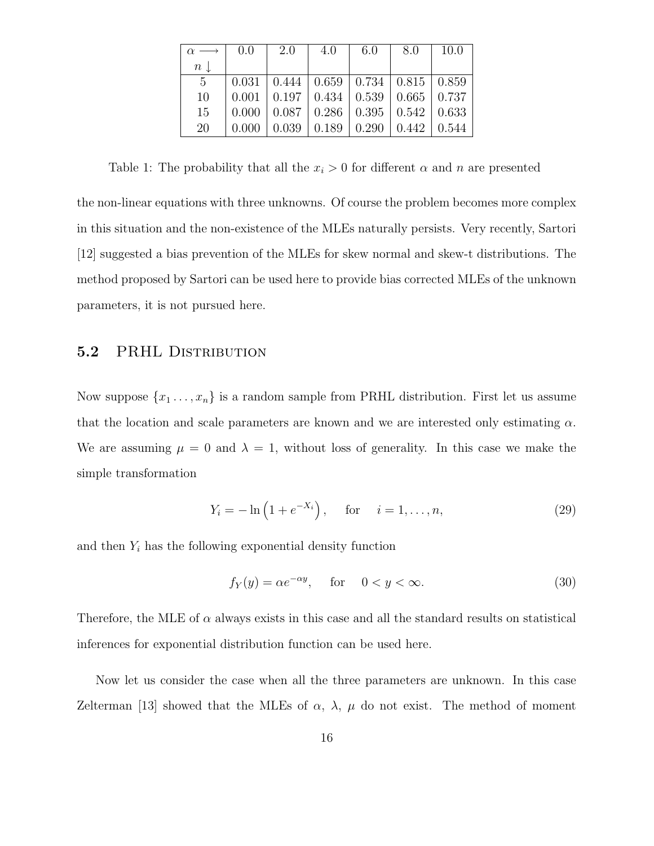|                 | 0.0   | 2.0 | 4.0                     | 6.0                                                              | 8.0   | 10.0  |
|-----------------|-------|-----|-------------------------|------------------------------------------------------------------|-------|-------|
| $n\downarrow$   |       |     |                         |                                                                  |       |       |
| $5\overline{)}$ | 0.031 |     |                         | $\mid$ 0.444 $\mid$ 0.659 $\mid$ 0.734 $\mid$ 0.815 $\mid$ 0.859 |       |       |
| 10              | 0.001 |     |                         | $0.197 \mid 0.434 \mid 0.539 \mid 0.665 \mid 0.737$              |       |       |
| 15              | 0.000 |     |                         | $0.087 \mid 0.286 \mid 0.395 \mid 0.542$                         |       | 0.633 |
| 20              | 0.000 |     | $0.039 \mid 0.189 \mid$ | 0.290                                                            | 0.442 | 0.544 |

Table 1: The probability that all the  $x_i > 0$  for different  $\alpha$  and  $n$  are presented

the non-linear equations with three unknowns. Of course the problem becomes more complex in this situation and the non-existence of the MLEs naturally persists. Very recently, Sartori [12] suggested a bias prevention of the MLEs for skew normal and skew-t distributions. The method proposed by Sartori can be used here to provide bias corrected MLEs of the unknown parameters, it is not pursued here.

#### 5.2 PRHL DISTRIBUTION

Now suppose  $\{x_1, \ldots, x_n\}$  is a random sample from PRHL distribution. First let us assume that the location and scale parameters are known and we are interested only estimating  $\alpha$ . We are assuming  $\mu = 0$  and  $\lambda = 1$ , without loss of generality. In this case we make the simple transformation

$$
Y_i = -\ln(1 + e^{-X_i}), \quad \text{for} \quad i = 1, ..., n,
$$
 (29)

and then  $Y_i$  has the following exponential density function

$$
f_Y(y) = \alpha e^{-\alpha y}, \quad \text{for} \quad 0 < y < \infty. \tag{30}
$$

Therefore, the MLE of  $\alpha$  always exists in this case and all the standard results on statistical inferences for exponential distribution function can be used here.

Now let us consider the case when all the three parameters are unknown. In this case Zelterman [13] showed that the MLEs of  $\alpha$ ,  $\lambda$ ,  $\mu$  do not exist. The method of moment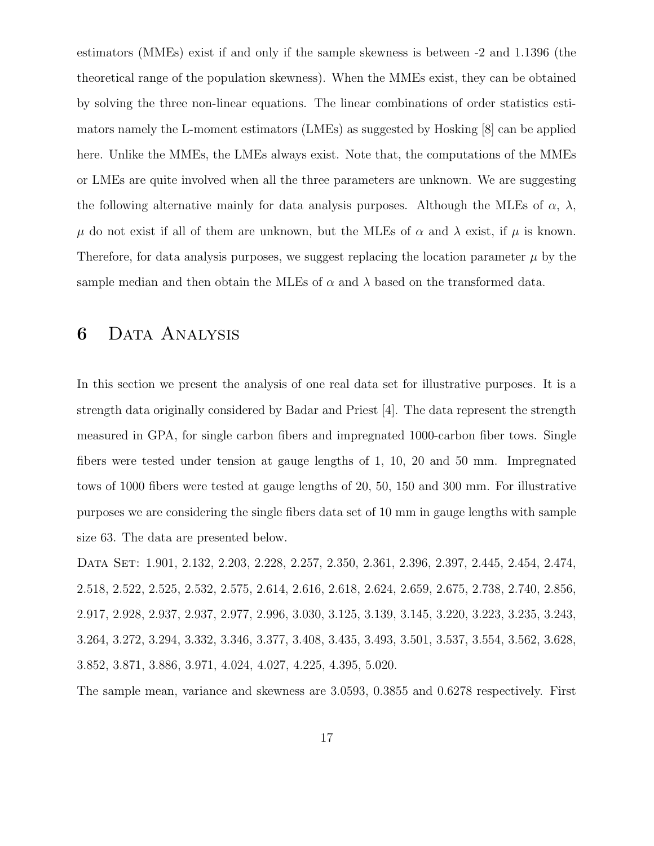estimators (MMEs) exist if and only if the sample skewness is between -2 and 1.1396 (the theoretical range of the population skewness). When the MMEs exist, they can be obtained by solving the three non-linear equations. The linear combinations of order statistics estimators namely the L-moment estimators (LMEs) as suggested by Hosking [8] can be applied here. Unlike the MMEs, the LMEs always exist. Note that, the computations of the MMEs or LMEs are quite involved when all the three parameters are unknown. We are suggesting the following alternative mainly for data analysis purposes. Although the MLEs of  $\alpha$ ,  $\lambda$ ,  $\mu$  do not exist if all of them are unknown, but the MLEs of  $\alpha$  and  $\lambda$  exist, if  $\mu$  is known. Therefore, for data analysis purposes, we suggest replacing the location parameter  $\mu$  by the sample median and then obtain the MLEs of  $\alpha$  and  $\lambda$  based on the transformed data.

## 6 Data Analysis

In this section we present the analysis of one real data set for illustrative purposes. It is a strength data originally considered by Badar and Priest [4]. The data represent the strength measured in GPA, for single carbon fibers and impregnated 1000-carbon fiber tows. Single fibers were tested under tension at gauge lengths of 1, 10, 20 and 50 mm. Impregnated tows of 1000 fibers were tested at gauge lengths of 20, 50, 150 and 300 mm. For illustrative purposes we are considering the single fibers data set of 10 mm in gauge lengths with sample size 63. The data are presented below.

DATA SET: 1.901, 2.132, 2.203, 2.228, 2.257, 2.350, 2.361, 2.396, 2.397, 2.445, 2.454, 2.474, 2.518, 2.522, 2.525, 2.532, 2.575, 2.614, 2.616, 2.618, 2.624, 2.659, 2.675, 2.738, 2.740, 2.856, 2.917, 2.928, 2.937, 2.937, 2.977, 2.996, 3.030, 3.125, 3.139, 3.145, 3.220, 3.223, 3.235, 3.243, 3.264, 3.272, 3.294, 3.332, 3.346, 3.377, 3.408, 3.435, 3.493, 3.501, 3.537, 3.554, 3.562, 3.628, 3.852, 3.871, 3.886, 3.971, 4.024, 4.027, 4.225, 4.395, 5.020.

The sample mean, variance and skewness are 3.0593, 0.3855 and 0.6278 respectively. First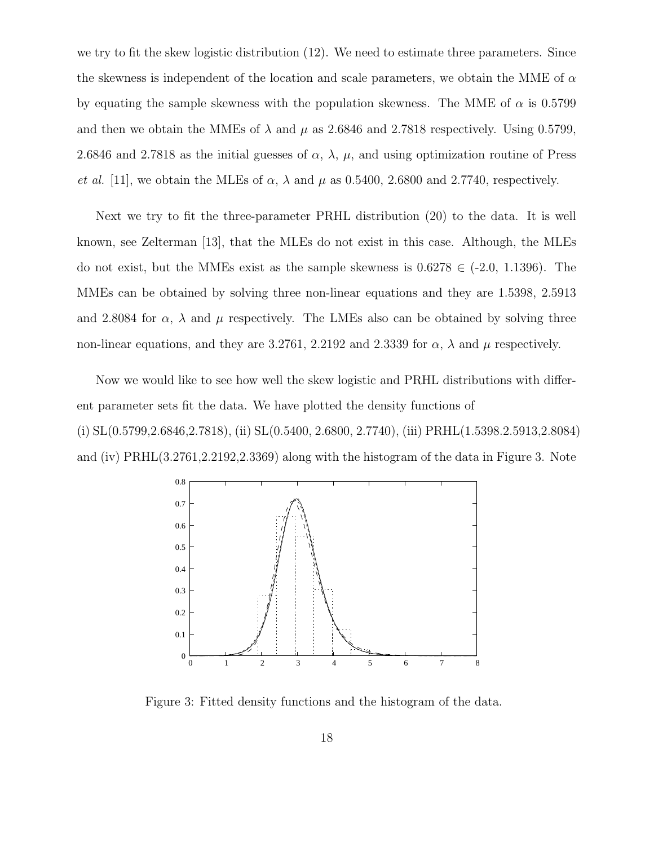we try to fit the skew logistic distribution (12). We need to estimate three parameters. Since the skewness is independent of the location and scale parameters, we obtain the MME of  $\alpha$ by equating the sample skewness with the population skewness. The MME of  $\alpha$  is 0.5799 and then we obtain the MMEs of  $\lambda$  and  $\mu$  as 2.6846 and 2.7818 respectively. Using 0.5799, 2.6846 and 2.7818 as the initial guesses of  $\alpha$ ,  $\lambda$ ,  $\mu$ , and using optimization routine of Press *et al.* [11], we obtain the MLEs of  $\alpha$ ,  $\lambda$  and  $\mu$  as 0.5400, 2.6800 and 2.7740, respectively.

Next we try to fit the three-parameter PRHL distribution (20) to the data. It is well known, see Zelterman [13], that the MLEs do not exist in this case. Although, the MLEs do not exist, but the MMEs exist as the sample skewness is  $0.6278 \in (-2.0, 1.1396)$ . The MMEs can be obtained by solving three non-linear equations and they are 1.5398, 2.5913 and 2.8084 for  $\alpha$ ,  $\lambda$  and  $\mu$  respectively. The LMEs also can be obtained by solving three non-linear equations, and they are 3.2761, 2.2192 and 2.3339 for  $\alpha$ ,  $\lambda$  and  $\mu$  respectively.

Now we would like to see how well the skew logistic and PRHL distributions with different parameter sets fit the data. We have plotted the density functions of (i) SL(0.5799,2.6846,2.7818), (ii) SL(0.5400, 2.6800, 2.7740), (iii) PRHL(1.5398.2.5913,2.8084) and (iv) PRHL(3.2761,2.2192,2.3369) along with the histogram of the data in Figure 3. Note



Figure 3: Fitted density functions and the histogram of the data.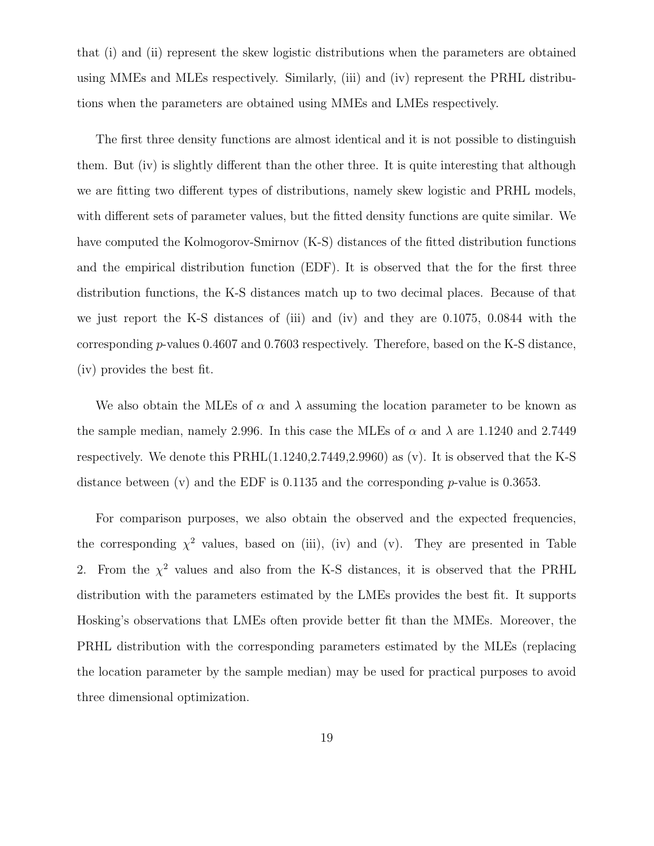that (i) and (ii) represent the skew logistic distributions when the parameters are obtained using MMEs and MLEs respectively. Similarly, (iii) and (iv) represent the PRHL distributions when the parameters are obtained using MMEs and LMEs respectively.

The first three density functions are almost identical and it is not possible to distinguish them. But (iv) is slightly different than the other three. It is quite interesting that although we are fitting two different types of distributions, namely skew logistic and PRHL models, with different sets of parameter values, but the fitted density functions are quite similar. We have computed the Kolmogorov-Smirnov (K-S) distances of the fitted distribution functions and the empirical distribution function (EDF). It is observed that the for the first three distribution functions, the K-S distances match up to two decimal places. Because of that we just report the K-S distances of (iii) and (iv) and they are 0.1075, 0.0844 with the corresponding p-values 0.4607 and 0.7603 respectively. Therefore, based on the K-S distance, (iv) provides the best fit.

We also obtain the MLEs of  $\alpha$  and  $\lambda$  assuming the location parameter to be known as the sample median, namely 2.996. In this case the MLEs of  $\alpha$  and  $\lambda$  are 1.1240 and 2.7449 respectively. We denote this PRHL(1.1240,2.7449,2.9960) as (v). It is observed that the K-S distance between (v) and the EDF is 0.1135 and the corresponding p-value is 0.3653.

For comparison purposes, we also obtain the observed and the expected frequencies, the corresponding  $\chi^2$  values, based on (iii), (iv) and (v). They are presented in Table 2. From the  $\chi^2$  values and also from the K-S distances, it is observed that the PRHL distribution with the parameters estimated by the LMEs provides the best fit. It supports Hosking's observations that LMEs often provide better fit than the MMEs. Moreover, the PRHL distribution with the corresponding parameters estimated by the MLEs (replacing the location parameter by the sample median) may be used for practical purposes to avoid three dimensional optimization.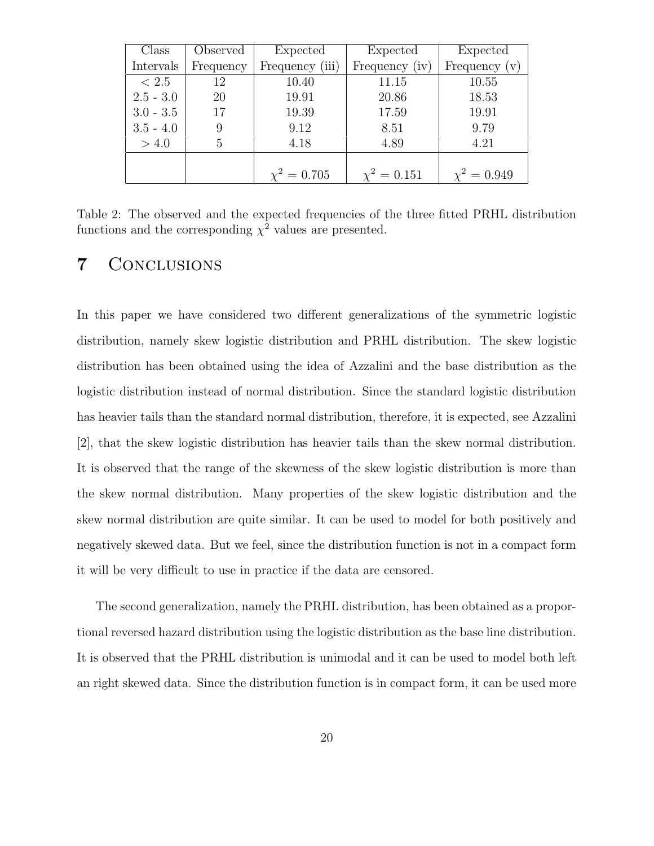| Class       | Observed  | Expected         | Expected         | Expected         |
|-------------|-----------|------------------|------------------|------------------|
| Intervals   | Frequency | Frequency (iii)  | Frequency (iv)   | Frequency $(v)$  |
| $\leq 2.5$  | 12        | 10.40            | 11.15            | 10.55            |
| $2.5 - 3.0$ | 20        | 19.91            | 20.86            | 18.53            |
| $3.0 - 3.5$ | 17        | 19.39            | 17.59            | 19.91            |
| $3.5 - 4.0$ |           | 9.12             | 8.51             | 9.79             |
| > 4.0       | 5         | 4.18             | 4.89             | 4.21             |
|             |           |                  |                  |                  |
|             |           | $\chi^2 = 0.705$ | $\chi^2 = 0.151$ | $\chi^2 = 0.949$ |

Table 2: The observed and the expected frequencies of the three fitted PRHL distribution functions and the corresponding  $\chi^2$  values are presented.

### 7 Conclusions

In this paper we have considered two different generalizations of the symmetric logistic distribution, namely skew logistic distribution and PRHL distribution. The skew logistic distribution has been obtained using the idea of Azzalini and the base distribution as the logistic distribution instead of normal distribution. Since the standard logistic distribution has heavier tails than the standard normal distribution, therefore, it is expected, see Azzalini [2], that the skew logistic distribution has heavier tails than the skew normal distribution. It is observed that the range of the skewness of the skew logistic distribution is more than the skew normal distribution. Many properties of the skew logistic distribution and the skew normal distribution are quite similar. It can be used to model for both positively and negatively skewed data. But we feel, since the distribution function is not in a compact form it will be very difficult to use in practice if the data are censored.

The second generalization, namely the PRHL distribution, has been obtained as a proportional reversed hazard distribution using the logistic distribution as the base line distribution. It is observed that the PRHL distribution is unimodal and it can be used to model both left an right skewed data. Since the distribution function is in compact form, it can be used more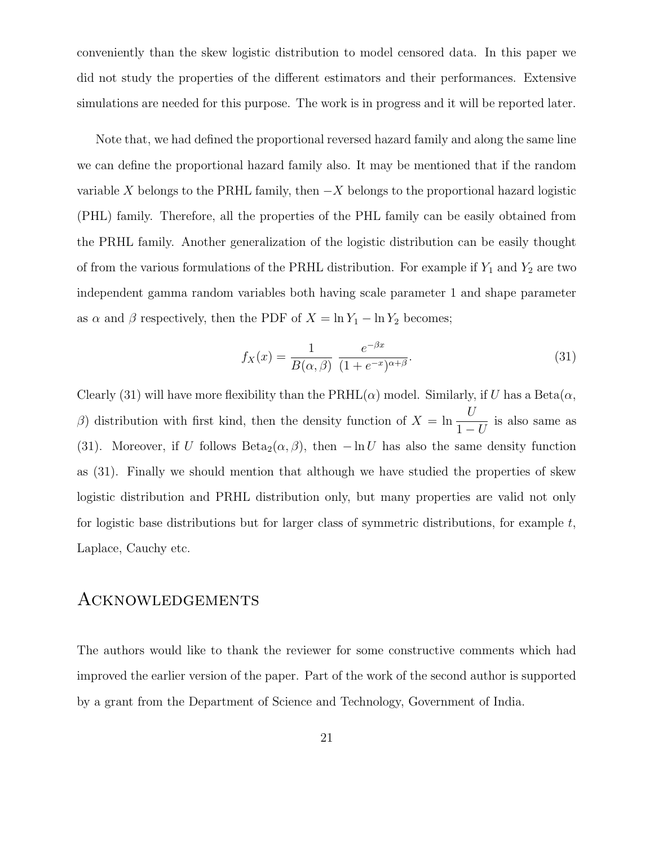conveniently than the skew logistic distribution to model censored data. In this paper we did not study the properties of the different estimators and their performances. Extensive simulations are needed for this purpose. The work is in progress and it will be reported later.

Note that, we had defined the proportional reversed hazard family and along the same line we can define the proportional hazard family also. It may be mentioned that if the random variable X belongs to the PRHL family, then  $-X$  belongs to the proportional hazard logistic (PHL) family. Therefore, all the properties of the PHL family can be easily obtained from the PRHL family. Another generalization of the logistic distribution can be easily thought of from the various formulations of the PRHL distribution. For example if  $Y_1$  and  $Y_2$  are two independent gamma random variables both having scale parameter 1 and shape parameter as  $\alpha$  and  $\beta$  respectively, then the PDF of  $X = \ln Y_1 - \ln Y_2$  becomes;

$$
f_X(x) = \frac{1}{B(\alpha, \beta)} \frac{e^{-\beta x}}{(1 + e^{-x})^{\alpha + \beta}}.
$$
\n(31)

Clearly (31) will have more flexibility than the  $\text{PRHL}(\alpha)$  model. Similarly, if U has a Beta $(\alpha,$ β) distribution with first kind, then the density function of  $X = \ln \frac{U}{1}$  $1-U$ is also same as (31). Moreover, if U follows Beta<sub>2</sub>( $\alpha$ ,  $\beta$ ), then  $-\ln U$  has also the same density function as (31). Finally we should mention that although we have studied the properties of skew logistic distribution and PRHL distribution only, but many properties are valid not only for logistic base distributions but for larger class of symmetric distributions, for example  $t$ , Laplace, Cauchy etc.

#### Acknowledgements

The authors would like to thank the reviewer for some constructive comments which had improved the earlier version of the paper. Part of the work of the second author is supported by a grant from the Department of Science and Technology, Government of India.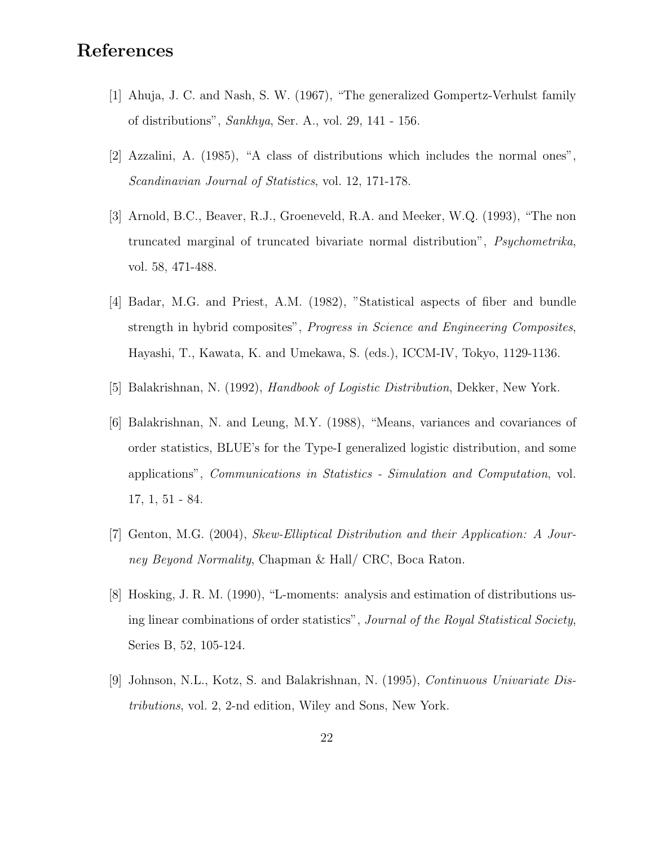## References

- [1] Ahuja, J. C. and Nash, S. W. (1967), "The generalized Gompertz-Verhulst family of distributions", Sankhya, Ser. A., vol. 29, 141 - 156.
- [2] Azzalini, A. (1985), "A class of distributions which includes the normal ones", Scandinavian Journal of Statistics, vol. 12, 171-178.
- [3] Arnold, B.C., Beaver, R.J., Groeneveld, R.A. and Meeker, W.Q. (1993), "The non truncated marginal of truncated bivariate normal distribution", Psychometrika, vol. 58, 471-488.
- [4] Badar, M.G. and Priest, A.M. (1982), "Statistical aspects of fiber and bundle strength in hybrid composites", Progress in Science and Engineering Composites, Hayashi, T., Kawata, K. and Umekawa, S. (eds.), ICCM-IV, Tokyo, 1129-1136.
- [5] Balakrishnan, N. (1992), Handbook of Logistic Distribution, Dekker, New York.
- [6] Balakrishnan, N. and Leung, M.Y. (1988), "Means, variances and covariances of order statistics, BLUE's for the Type-I generalized logistic distribution, and some applications", Communications in Statistics - Simulation and Computation, vol. 17, 1, 51 - 84.
- [7] Genton, M.G. (2004), Skew-Elliptical Distribution and their Application: A Journey Beyond Normality, Chapman & Hall/ CRC, Boca Raton.
- [8] Hosking, J. R. M. (1990), "L-moments: analysis and estimation of distributions using linear combinations of order statistics", Journal of the Royal Statistical Society, Series B, 52, 105-124.
- [9] Johnson, N.L., Kotz, S. and Balakrishnan, N. (1995), Continuous Univariate Distributions, vol. 2, 2-nd edition, Wiley and Sons, New York.